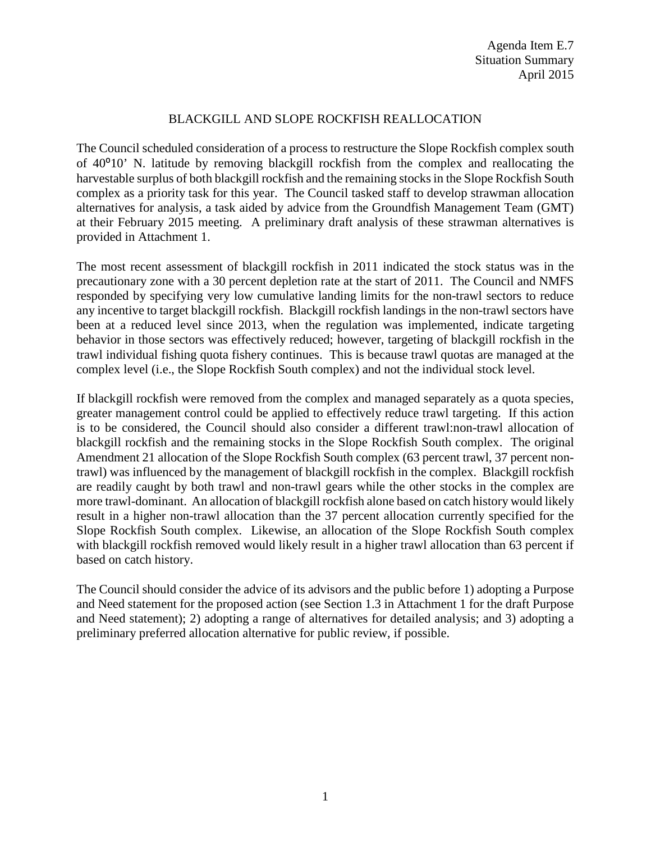## BLACKGILL AND SLOPE ROCKFISH REALLOCATION

The Council scheduled consideration of a process to restructure the Slope Rockfish complex south of 40<sup>o</sup>10' N. latitude by removing blackgill rockfish from the complex and reallocating the harvestable surplus of both blackgill rockfish and the remaining stocks in the Slope Rockfish South complex as a priority task for this year. The Council tasked staff to develop strawman allocation alternatives for analysis, a task aided by advice from the Groundfish Management Team (GMT) at their February 2015 meeting. A preliminary draft analysis of these strawman alternatives is provided in Attachment 1.

The most recent assessment of blackgill rockfish in 2011 indicated the stock status was in the precautionary zone with a 30 percent depletion rate at the start of 2011. The Council and NMFS responded by specifying very low cumulative landing limits for the non-trawl sectors to reduce any incentive to target blackgill rockfish. Blackgill rockfish landings in the non-trawl sectors have been at a reduced level since 2013, when the regulation was implemented, indicate targeting behavior in those sectors was effectively reduced; however, targeting of blackgill rockfish in the trawl individual fishing quota fishery continues. This is because trawl quotas are managed at the complex level (i.e., the Slope Rockfish South complex) and not the individual stock level.

If blackgill rockfish were removed from the complex and managed separately as a quota species, greater management control could be applied to effectively reduce trawl targeting. If this action is to be considered, the Council should also consider a different trawl:non-trawl allocation of blackgill rockfish and the remaining stocks in the Slope Rockfish South complex. The original Amendment 21 allocation of the Slope Rockfish South complex (63 percent trawl, 37 percent nontrawl) was influenced by the management of blackgill rockfish in the complex. Blackgill rockfish are readily caught by both trawl and non-trawl gears while the other stocks in the complex are more trawl-dominant. An allocation of blackgill rockfish alone based on catch history would likely result in a higher non-trawl allocation than the 37 percent allocation currently specified for the Slope Rockfish South complex. Likewise, an allocation of the Slope Rockfish South complex with blackgill rockfish removed would likely result in a higher trawl allocation than 63 percent if based on catch history.

The Council should consider the advice of its advisors and the public before 1) adopting a Purpose and Need statement for the proposed action (see Section 1.3 in Attachment 1 for the draft Purpose and Need statement); 2) adopting a range of alternatives for detailed analysis; and 3) adopting a preliminary preferred allocation alternative for public review, if possible.